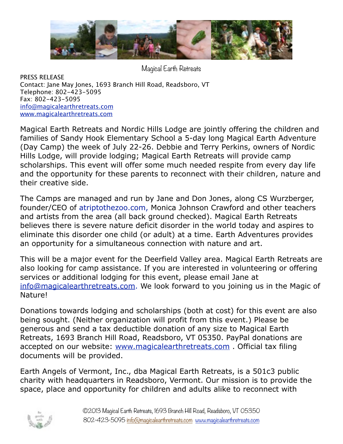

Magical Earth Retreats

PRESS RELEASE Contact: Jane May Jones, 1693 Branch Hill Road, Readsboro, VT Telephone: 802-423-5095 Fax: 802-423-5095 [info@magicalearthretreats.com](mailto:info@magicalearthretreats.com) [www.magicalearthretreats.com](http://www.magicalearthretreats.com)

Magical Earth Retreats and Nordic Hills Lodge are jointly offering the children and families of Sandy Hook Elementary School a 5-day long Magical Earth Adventure (Day Camp) the week of July 22-26. Debbie and Terry Perkins, owners of Nordic Hills Lodge, will provide lodging; Magical Earth Retreats will provide camp scholarships. This event will offer some much needed respite from every day life and the opportunity for these parents to reconnect with their children, nature and their creative side.

The Camps are managed and run by Jane and Don Jones, along CS Wurzberger, founder/CEO of atriptothezoo.com, Monica Johnson Crawford and other teachers and artists from the area (all back ground checked). Magical Earth Retreats believes there is severe nature deficit disorder in the world today and aspires to eliminate this disorder one child (or adult) at a time. Earth Adventures provides an opportunity for a simultaneous connection with nature and art.

This will be a major event for the Deerfield Valley area. Magical Earth Retreats are also looking for camp assistance. If you are interested in volunteering or offering services or additional lodging for this event, please email Jane at [info@magicalearthretreats.com](mailto:info@magicalearthretreats.com). We look forward to you joining us in the Magic of Nature!

Donations towards lodging and scholarships (both at cost) for this event are also being sought. (Neither organization will profit from this event.) Please be generous and send a tax deductible donation of any size to Magical Earth Retreats, 1693 Branch Hill Road, Readsboro, VT 05350. PayPal donations are accepted on our website: [www.magicalearthretreats.com](http://www.magicalearthretreats.com). Official tax filing documents will be provided.

Earth Angels of Vermont, Inc., dba Magical Earth Retreats, is a 501c3 public charity with headquarters in Readsboro, Vermont. Our mission is to provide the space, place and opportunity for children and adults alike to reconnect with